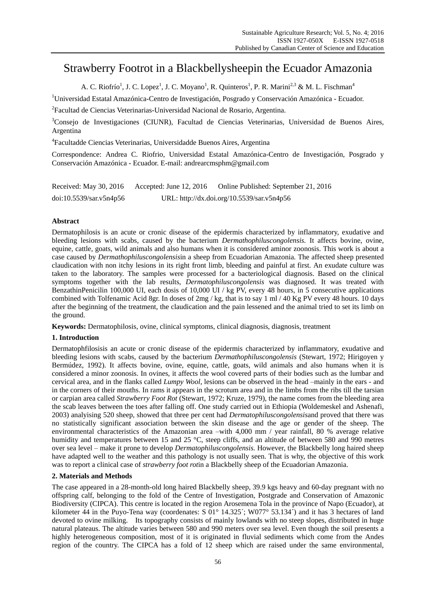# Strawberry Footrot in a Blackbellysheepin the Ecuador Amazonia

A. C. Riofr  $\mathfrak{b}^1$ , J. C. Lopez<sup>1</sup>, J. C. Moyano<sup>1</sup>, R. Quinteros<sup>1</sup>, P. R. Marini<sup>2,3</sup> & M. L. Fischman<sup>4</sup>

<sup>1</sup>Universidad Estatal Amazónica-Centro de Investigación, Posgrado y Conservación Amazónica - Ecuador.

<sup>2</sup> Facultad de Ciencias Veterinarias-Universidad Nacional de Rosario, Argentina.

<sup>3</sup>Consejo de Investigaciones (CIUNR), Facultad de Ciencias Veterinarias, Universidad de Buenos Aires, Argentina

4 Facultadde Ciencias Veterinarias, Universidadde Buenos Aires, Argentina

Correspondence: Andrea C. Riofrio, Universidad Estatal Amazónica-Centro de Investigación, Posgrado y Conservación Amazónica - Ecuador. E-mail: andrearcmsphm@gmail.com

| Received: May 30, 2016  | Accepted: June 12, $2016$ | Online Published: September 21, 2016       |
|-------------------------|---------------------------|--------------------------------------------|
| doi:10.5539/sar.v5n4p56 |                           | URL: http://dx.doi.org/10.5539/sar.v5n4p56 |

# **Abstract**

Dermatophilosis is an acute or cronic disease of the epidermis characterized by inflammatory, exudative and bleeding lesions with scabs, caused by the bacterium *Dermathophiluscongolensis.* It affects bovine, ovine, equine, cattle, goats, wild animals and also humans when it is considered aminor zoonosis. This work is about a case caused by *Dermathophiluscongolensis*in a sheep from Ecuadorian Amazonia. The affected sheep presented claudication with non itchy lesions in its right front limb, bleeding and painful at first. An exudate culture was taken to the laboratory. The samples were processed for a bacteriological diagnosis. Based on the clinical symptoms together with the lab results, *Dermatophiluscongolensis* was diagnosed. It was treated with BenzathinPenicilin 100,000 UI, each dosis of 10,000 UI / kg PV, every 48 hours, in 5 consecutive applications combined with Tolfenamic Acid 8gr. In doses of 2mg / kg, that is to say 1 ml / 40 Kg PV every 48 hours. 10 days after the beginning of the treatment, the claudication and the pain lessened and the animal tried to set its limb on the ground.

**Keywords:** Dermatophilosis, ovine, clinical symptoms, clinical diagnosis, diagnosis, treatment

# **1. Introduction**

Dermatophfilosisis an acute or cronic disease of the epidermis characterized by inflammatory, exudative and bleeding lesions with scabs, caused by the bacterium *Dermathophiluscongolensis* (Stewart, 1972; Hirigoyen y Bermúdez, 1992). It affects bovine, ovine, equine, cattle, goats, wild animals and also humans when it is considered a minor zoonosis. In ovines, it affects the wool covered parts of their bodies such as the lumbar and cervical area, and in the flanks called *Lumpy Wool*, lesions can be observed in the head –mainly in the ears - and in the corners of their mouths. In rams it appears in the scrotum area and in the limbs from the ribs till the tarsian or carpian area called *Strawberry Foot Rot* (Stewart, 1972; Kruze, 1979), the name comes from the bleeding area the scab leaves between the toes after falling off. One study carried out in Ethiopia [\(Woldemeskel](http://www.ncbi.nlm.nih.gov/pubmed/?term=Woldemeskel%20M%5BAuthor%5D&cauthor=true&cauthor_uid=12596667) and Ashenafi, 2003) analyising 520 sheep, showed that three per cent had *Dermatophiluscongolensis*and proved that there was no statistically significant association between the skin disease and the age or gender of the sheep. The environmental characteristics of the Amazonian area –with 4,000 mm / year rainfall, 80 % average relative humidity and temperatures between 15 and 25 °C, steep cliffs, and an altitude of between 580 and 990 metres over sea level – make it prone to develop *Dermatophiluscongolensis.* However, the Blackbelly long haired sheep have adapted well to the weather and this pathology is not usually seen. That is why, the objective of this work was to report a clinical case of *strawberry foot rot*in a Blackbelly sheep of the Ecuadorian Amazonia.

## **2. Materials and Methods**

The case appeared in a 28-month-old long haired Blackbelly sheep, 39.9 kgs heavy and 60-day pregnant with no offspring calf, belonging to the fold of the Centre of Investigation, Postgrade and Conservation of Amazonic Biodiversity (CIPCA). This centre is located in the region Arosemena Tola in the province of Napo (Ecuador), at kilometer 44 in the Puyo-Tena way (coordenates:  $S$  01 $^{\circ}$ 14.325  $\acute{;}$  W077 $^{\circ}$ 53.134 $\acute{;}$ ) and it has 3 hectares of land devoted to ovine milking. Its topography consists of mainly lowlands with no steep slopes, distributed in huge natural plateaus. The altitude varies between 580 and 990 meters over sea level. Even though the soil presents a highly heterogeneous composition, most of it is originated in fluvial sediments which come from the Andes region of the country. The CIPCA has a fold of 12 sheep which are raised under the same environmental,